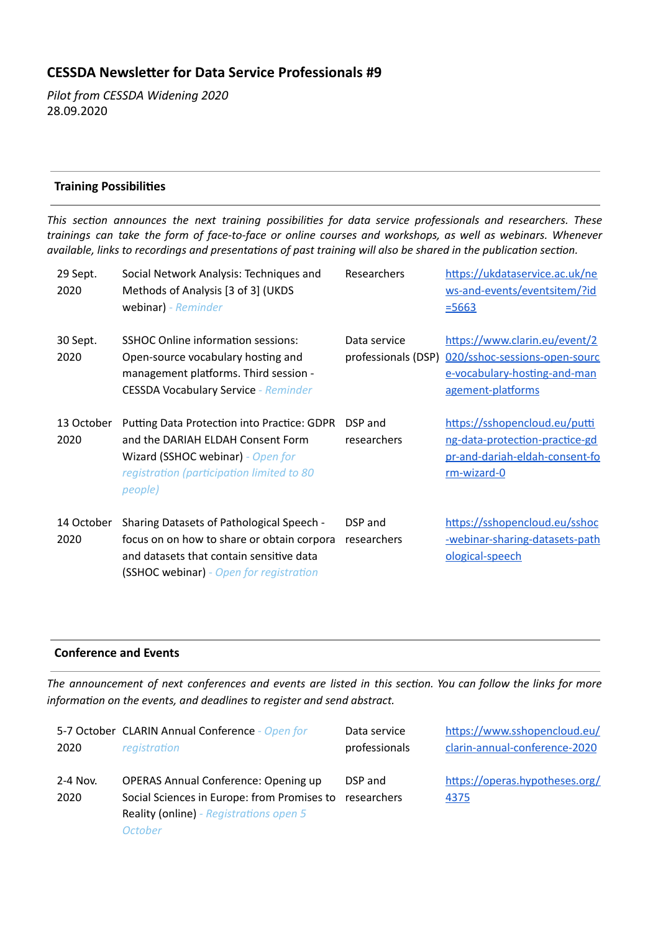# **CESSDA Newsleer for Data Service Professionals #9**

*Pilot from CESSDA Widening 2020*  28.09.2020

# **Training Possibilities**

*This secon announces the next training possibilies for data service professionals and researchers. These trainings can take the form of face-to-face or online courses and workshops, as well as webinars. Whenever available, links to recordings and presentations of past training will also be shared in the publication section.* 

| 29 Sept.<br>2020   | Social Network Analysis: Techniques and<br>Methods of Analysis [3 of 3] (UKDS<br>webinar) - Reminder                                                                           | Researchers            | https://ukdataservice.ac.uk/ne<br>ws-and-events/eventsitem/?id<br>$= 5663$                                                              |
|--------------------|--------------------------------------------------------------------------------------------------------------------------------------------------------------------------------|------------------------|-----------------------------------------------------------------------------------------------------------------------------------------|
| 30 Sept.<br>2020   | <b>SSHOC Online information sessions:</b><br>Open-source vocabulary hosting and<br>management platforms. Third session -<br><b>CESSDA Vocabulary Service - Reminder</b>        | Data service           | https://www.clarin.eu/event/2<br>professionals (DSP) 020/sshoc-sessions-open-sourc<br>e-vocabulary-hosting-and-man<br>agement-platforms |
| 13 October<br>2020 | Putting Data Protection into Practice: GDPR<br>and the DARIAH ELDAH Consent Form<br>Wizard (SSHOC webinar) - Open for<br>registration (participation limited to 80<br>people)  | DSP and<br>researchers | https://sshopencloud.eu/putti<br>ng-data-protection-practice-gd<br>pr-and-dariah-eldah-consent-fo<br>rm-wizard-0                        |
| 14 October<br>2020 | Sharing Datasets of Pathological Speech -<br>focus on on how to share or obtain corpora<br>and datasets that contain sensitive data<br>(SSHOC webinar) - Open for registration | DSP and<br>researchers | https://sshopencloud.eu/sshoc<br>-webinar-sharing-datasets-path<br>ological-speech                                                      |

# **Conference and Events**

The announcement of next conferences and events are listed in this section. You can follow the links for more *information on the events, and deadlines to register and send abstract.* 

| 2020             | 5-7 October CLARIN Annual Conference - Open for                                                                                                  | Data service           | https://www.sshopencloud.eu/           |
|------------------|--------------------------------------------------------------------------------------------------------------------------------------------------|------------------------|----------------------------------------|
|                  | registration                                                                                                                                     | professionals          | clarin-annual-conference-2020          |
| 2-4 Nov.<br>2020 | <b>OPERAS Annual Conference: Opening up</b><br>Social Sciences in Europe: from Promises to<br>Reality (online) - Registrations open 5<br>October | DSP and<br>researchers | https://operas.hypotheses.org/<br>4375 |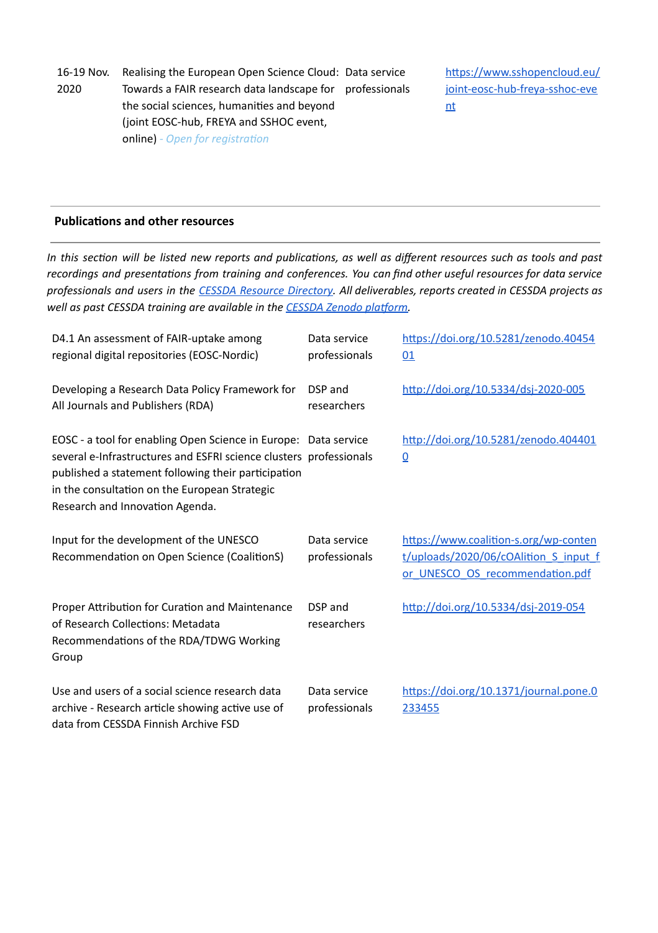16-19 Nov. 2020 Realising the European Open Science Cloud: Data service Towards a FAIR research data landscape for professionals the social sciences, humanities and beyond (joint EOSC-hub, FREYA and SSHOC event, **online)** *- Open for registration* 

https://www.sshopencloud.eu/ [joint-eosc-hub-freya-sshoc-eve](https://www.sshopencloud.eu/joint-eosc-hub-freya-sshoc-event) [nt](https://www.sshopencloud.eu/joint-eosc-hub-freya-sshoc-event)

## **Publications and other resources**

In this section will be listed new reports and publications, as well as different resources such as tools and past *recordings* and presentations from training and conferences. You can find other useful resources for data service professionals and users in the CESSDA Resource [Directory](https://www.zotero.org/groups/2382601/cessda_resource_directory/library). All deliverables, reports created in CESSDA projects as *well* as past CESSDA training are available in the **CESSDA** Zenodo platform.

| D4.1 An assessment of FAIR-uptake among<br>regional digital repositories (EOSC-Nordic)                                                                                                                                                                                           | Data service<br>professionals | https://doi.org/10.5281/zenodo.40454<br>01                                                                        |
|----------------------------------------------------------------------------------------------------------------------------------------------------------------------------------------------------------------------------------------------------------------------------------|-------------------------------|-------------------------------------------------------------------------------------------------------------------|
| Developing a Research Data Policy Framework for<br>All Journals and Publishers (RDA)                                                                                                                                                                                             | DSP and<br>researchers        | http://doi.org/10.5334/dsj-2020-005                                                                               |
| EOSC - a tool for enabling Open Science in Europe: Data service<br>several e-Infrastructures and ESFRI science clusters professionals<br>published a statement following their participation<br>in the consultation on the European Strategic<br>Research and Innovation Agenda. |                               | http://doi.org/10.5281/zenodo.404401<br>$\underline{0}$                                                           |
| Input for the development of the UNESCO<br>Recommendation on Open Science (CoalitionS)                                                                                                                                                                                           | Data service<br>professionals | https://www.coalition-s.org/wp-conten<br>t/uploads/2020/06/cOAlition S input f<br>or UNESCO OS recommendation.pdf |
| Proper Attribution for Curation and Maintenance<br>of Research Collections: Metadata<br>Recommendations of the RDA/TDWG Working<br>Group                                                                                                                                         | DSP and<br>researchers        | http://doi.org/10.5334/dsj-2019-054                                                                               |
| Use and users of a social science research data<br>archive - Research article showing active use of<br>data from CESSDA Finnish Archive FSD                                                                                                                                      | Data service<br>professionals | https://doi.org/10.1371/journal.pone.0<br>233455                                                                  |